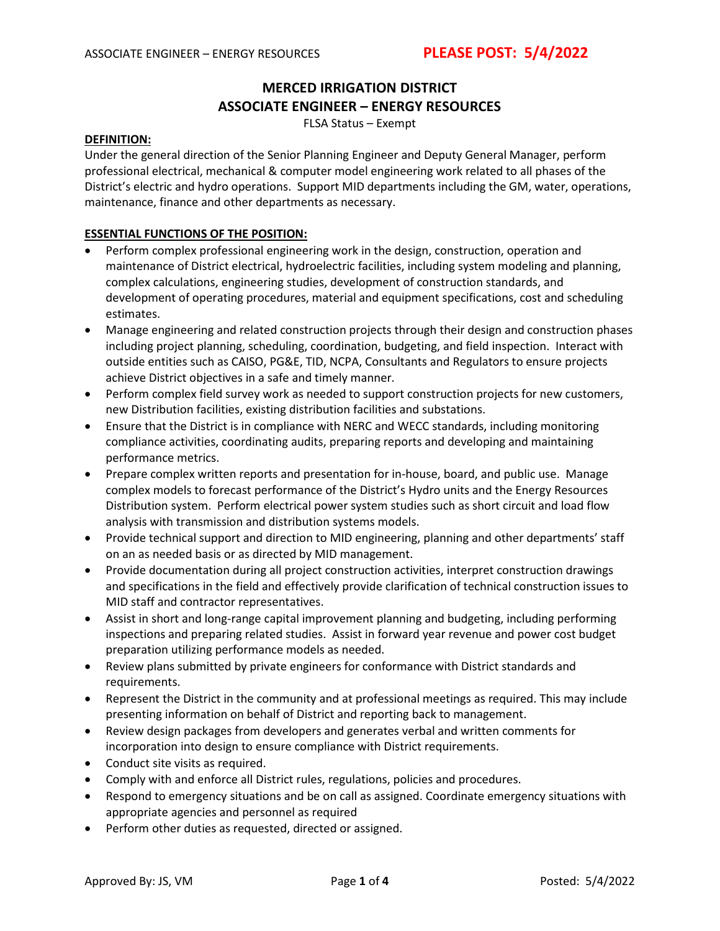### **MERCED IRRIGATION DISTRICT ASSOCIATE ENGINEER – ENERGY RESOURCES**

FLSA Status – Exempt

#### **DEFINITION:**

Under the general direction of the Senior Planning Engineer and Deputy General Manager, perform professional electrical, mechanical & computer model engineering work related to all phases of the District's electric and hydro operations. Support MID departments including the GM, water, operations, maintenance, finance and other departments as necessary.

#### **ESSENTIAL FUNCTIONS OF THE POSITION:**

- Perform complex professional engineering work in the design, construction, operation and maintenance of District electrical, hydroelectric facilities, including system modeling and planning, complex calculations, engineering studies, development of construction standards, and development of operating procedures, material and equipment specifications, cost and scheduling estimates.
- Manage engineering and related construction projects through their design and construction phases including project planning, scheduling, coordination, budgeting, and field inspection. Interact with outside entities such as CAISO, PG&E, TID, NCPA, Consultants and Regulators to ensure projects achieve District objectives in a safe and timely manner.
- Perform complex field survey work as needed to support construction projects for new customers, new Distribution facilities, existing distribution facilities and substations.
- Ensure that the District is in compliance with NERC and WECC standards, including monitoring compliance activities, coordinating audits, preparing reports and developing and maintaining performance metrics.
- Prepare complex written reports and presentation for in-house, board, and public use. Manage complex models to forecast performance of the District's Hydro units and the Energy Resources Distribution system. Perform electrical power system studies such as short circuit and load flow analysis with transmission and distribution systems models.
- Provide technical support and direction to MID engineering, planning and other departments' staff on an as needed basis or as directed by MID management.
- Provide documentation during all project construction activities, interpret construction drawings and specifications in the field and effectively provide clarification of technical construction issues to MID staff and contractor representatives.
- Assist in short and long-range capital improvement planning and budgeting, including performing inspections and preparing related studies. Assist in forward year revenue and power cost budget preparation utilizing performance models as needed.
- Review plans submitted by private engineers for conformance with District standards and requirements.
- Represent the District in the community and at professional meetings as required. This may include presenting information on behalf of District and reporting back to management.
- Review design packages from developers and generates verbal and written comments for incorporation into design to ensure compliance with District requirements.
- Conduct site visits as required.
- Comply with and enforce all District rules, regulations, policies and procedures.
- Respond to emergency situations and be on call as assigned. Coordinate emergency situations with appropriate agencies and personnel as required
- Perform other duties as requested, directed or assigned.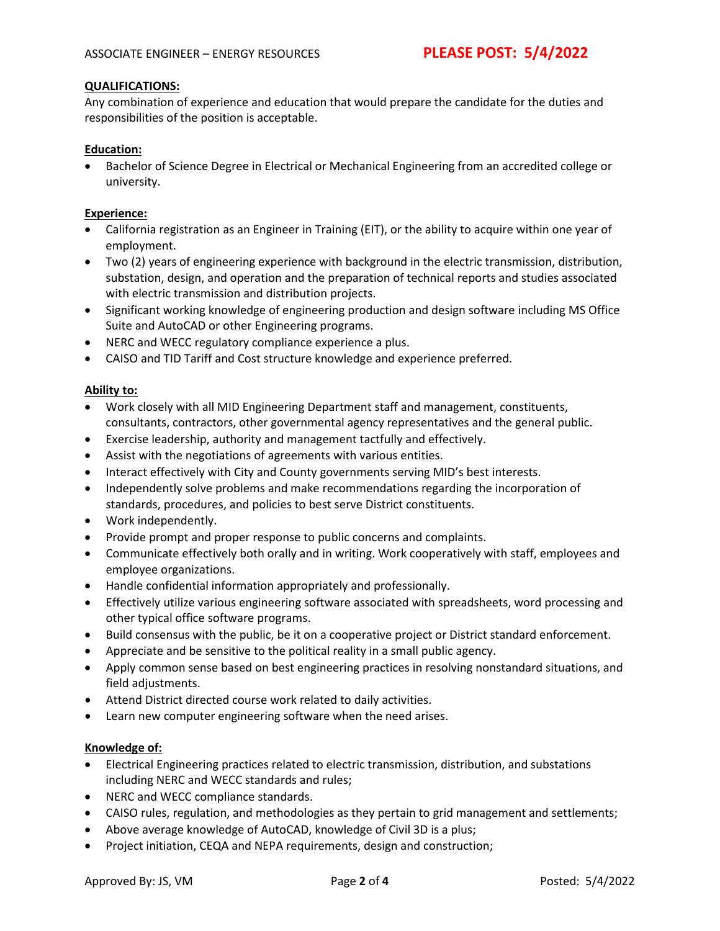#### **QUALIFICATIONS:**

Any combination of experience and education that would prepare the candidate for the duties and responsibilities of the position is acceptable.

#### **Education:**

• Bachelor of Science Degree in Electrical or Mechanical Engineering from an accredited college or university.

#### **Experience:**

- California registration as an Engineer in Training (EIT), or the ability to acquire within one year of employment.
- Two (2) years of engineering experience with background in the electric transmission, distribution, substation, design, and operation and the preparation of technical reports and studies associated with electric transmission and distribution projects.
- Significant working knowledge of engineering production and design software including MS Office Suite and AutoCAD or other Engineering programs.
- NERC and WECC regulatory compliance experience a plus.
- CAISO and TID Tariff and Cost structure knowledge and experience preferred.

#### **Ability to:**

- Work closely with all MID Engineering Department staff and management, constituents, consultants, contractors, other governmental agency representatives and the general public.
- Exercise leadership, authority and management tactfully and effectively.
- Assist with the negotiations of agreements with various entities.
- Interact effectively with City and County governments serving MID's best interests.
- Independently solve problems and make recommendations regarding the incorporation of standards, procedures, and policies to best serve District constituents.
- Work independently.
- Provide prompt and proper response to public concerns and complaints.
- Communicate effectively both orally and in writing. Work cooperatively with staff, employees and employee organizations.
- Handle confidential information appropriately and professionally.
- Effectively utilize various engineering software associated with spreadsheets, word processing and other typical office software programs.
- Build consensus with the public, be it on a cooperative project or District standard enforcement.
- Appreciate and be sensitive to the political reality in a small public agency.
- Apply common sense based on best engineering practices in resolving nonstandard situations, and field adjustments.
- Attend District directed course work related to daily activities.
- Learn new computer engineering software when the need arises.

#### **Knowledge of:**

- Electrical Engineering practices related to electric transmission, distribution, and substations including NERC and WECC standards and rules;
- NERC and WECC compliance standards.
- CAISO rules, regulation, and methodologies as they pertain to grid management and settlements;
- Above average knowledge of AutoCAD, knowledge of Civil 3D is a plus;
- Project initiation, CEQA and NEPA requirements, design and construction;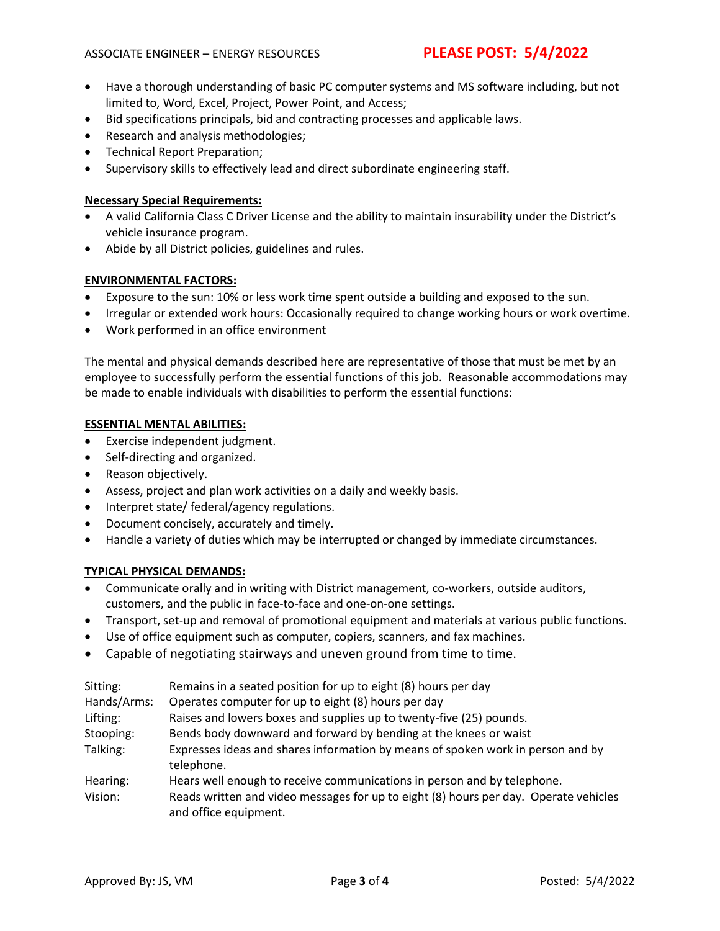- Have a thorough understanding of basic PC computer systems and MS software including, but not limited to, Word, Excel, Project, Power Point, and Access;
- Bid specifications principals, bid and contracting processes and applicable laws.
- Research and analysis methodologies;
- Technical Report Preparation;
- Supervisory skills to effectively lead and direct subordinate engineering staff.

#### **Necessary Special Requirements:**

- A valid California Class C Driver License and the ability to maintain insurability under the District's vehicle insurance program.
- Abide by all District policies, guidelines and rules.

#### **ENVIRONMENTAL FACTORS:**

- Exposure to the sun: 10% or less work time spent outside a building and exposed to the sun.
- Irregular or extended work hours: Occasionally required to change working hours or work overtime.
- Work performed in an office environment

The mental and physical demands described here are representative of those that must be met by an employee to successfully perform the essential functions of this job. Reasonable accommodations may be made to enable individuals with disabilities to perform the essential functions:

#### **ESSENTIAL MENTAL ABILITIES:**

- Exercise independent judgment.
- Self-directing and organized.
- Reason objectively.
- Assess, project and plan work activities on a daily and weekly basis.
- Interpret state/ federal/agency regulations.
- Document concisely, accurately and timely.
- Handle a variety of duties which may be interrupted or changed by immediate circumstances.

#### **TYPICAL PHYSICAL DEMANDS:**

- Communicate orally and in writing with District management, co-workers, outside auditors, customers, and the public in face-to-face and one-on-one settings.
- Transport, set-up and removal of promotional equipment and materials at various public functions.
- Use of office equipment such as computer, copiers, scanners, and fax machines.
- Capable of negotiating stairways and uneven ground from time to time.

| Sitting:    | Remains in a seated position for up to eight (8) hours per day                                                |
|-------------|---------------------------------------------------------------------------------------------------------------|
| Hands/Arms: | Operates computer for up to eight (8) hours per day                                                           |
| Lifting:    | Raises and lowers boxes and supplies up to twenty-five (25) pounds.                                           |
| Stooping:   | Bends body downward and forward by bending at the knees or waist                                              |
| Talking:    | Expresses ideas and shares information by means of spoken work in person and by<br>telephone.                 |
| Hearing:    | Hears well enough to receive communications in person and by telephone.                                       |
| Vision:     | Reads written and video messages for up to eight (8) hours per day. Operate vehicles<br>and office equipment. |